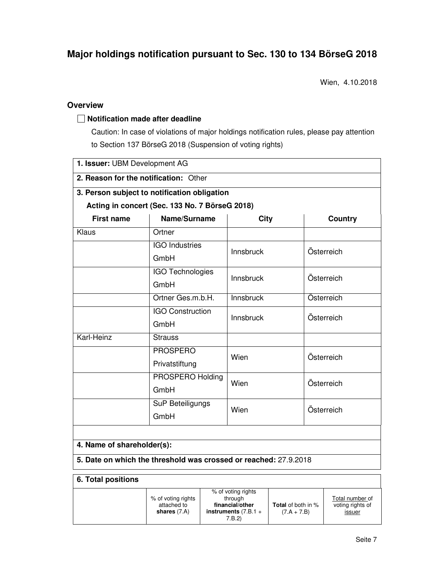Wien, 4.10.2018

# **Overview**

### **Notification made after deadline**

Caution: In case of violations of major holdings notification rules, please pay attention to Section 137 BörseG 2018 (Suspension of voting rights)

| 1. Issuer: UBM Development AG                                    |                                                |                  |                |  |  |
|------------------------------------------------------------------|------------------------------------------------|------------------|----------------|--|--|
| 2. Reason for the notification: Other                            |                                                |                  |                |  |  |
|                                                                  | 3. Person subject to notification obligation   |                  |                |  |  |
|                                                                  | Acting in concert (Sec. 133 No. 7 BörseG 2018) |                  |                |  |  |
| <b>First name</b>                                                | Name/Surname                                   | <b>City</b>      | <b>Country</b> |  |  |
| Klaus                                                            | Ortner                                         |                  |                |  |  |
|                                                                  | <b>IGO</b> Industries<br>GmbH                  | Innsbruck        | Österreich     |  |  |
|                                                                  | IGO Technologies<br>GmbH                       | <b>Innsbruck</b> | Österreich     |  |  |
|                                                                  | Ortner Ges.m.b.H.                              | Innsbruck        | Österreich     |  |  |
|                                                                  | <b>IGO Construction</b><br>GmbH                | Innsbruck        | Österreich     |  |  |
| Karl-Heinz                                                       | <b>Strauss</b>                                 |                  |                |  |  |
|                                                                  | <b>PROSPERO</b><br>Privatstiftung              | Wien             | Österreich     |  |  |
|                                                                  | PROSPERO Holding<br>GmbH                       | Wien             | Österreich     |  |  |
|                                                                  | SuP Beteiligungs<br>GmbH                       | Wien             | Österreich     |  |  |
| 4. Name of shareholder(s):                                       |                                                |                  |                |  |  |
| 5. Date on which the threshold was crossed or reached: 27.9.2018 |                                                |                  |                |  |  |
| 6. Total positions                                               |                                                |                  |                |  |  |

| % of voting rights            | % of voting rights<br>through<br>financial/other |                                            | Total number of                   |
|-------------------------------|--------------------------------------------------|--------------------------------------------|-----------------------------------|
| attached to<br>shares $(7.A)$ | instruments $(7.B.1 +$<br>7.B.2                  | <b>Total</b> of both in %<br>$(7.A + 7.B)$ | voting rights of<br><u>issuer</u> |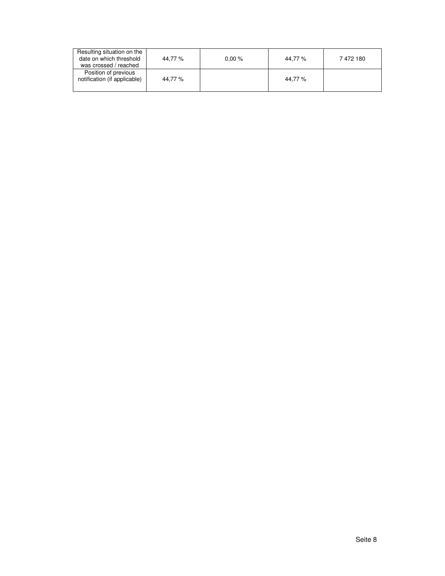| Resulting situation on the<br>date on which threshold<br>was crossed / reached | 44.77 % | 0.00% | 44.77 % | 7472180 |
|--------------------------------------------------------------------------------|---------|-------|---------|---------|
| Position of previous<br>notification (if applicable)                           | 44.77 % |       | 44.77%  |         |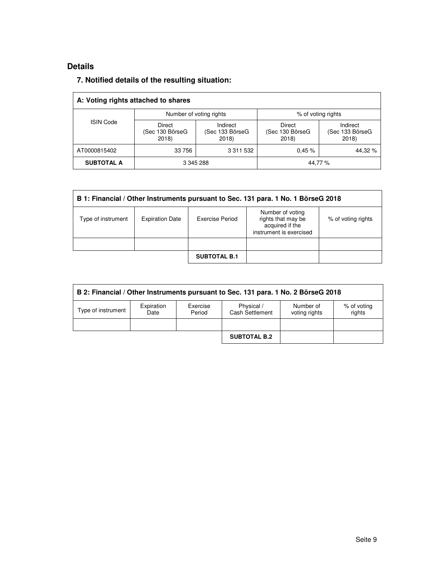# **Details**

## **7. Notified details of the resulting situation:**

| A: Voting rights attached to shares |                                   |                                     |                                   |                                     |  |  |
|-------------------------------------|-----------------------------------|-------------------------------------|-----------------------------------|-------------------------------------|--|--|
| <b>ISIN Code</b>                    | Number of voting rights           |                                     | % of voting rights                |                                     |  |  |
|                                     | Direct<br>(Sec 130 BörseG<br>2018 | Indirect<br>(Sec 133 BörseG<br>2018 | Direct<br>(Sec 130 BörseG<br>2018 | Indirect<br>(Sec 133 BörseG<br>2018 |  |  |
| AT0000815402                        | 33 756                            | 3 3 1 5 5 3 2                       | 0.45%                             | 44,32 %                             |  |  |
| <b>SUBTOTAL A</b>                   | 3 345 288                         |                                     | 44.77 %                           |                                     |  |  |

| B 1: Financial / Other Instruments pursuant to Sec. 131 para. 1 No. 1 BörseG 2018 |                        |                        |                                                                                      |                    |  |
|-----------------------------------------------------------------------------------|------------------------|------------------------|--------------------------------------------------------------------------------------|--------------------|--|
| Type of instrument                                                                | <b>Expiration Date</b> | <b>Exercise Period</b> | Number of voting<br>rights that may be<br>acquired if the<br>instrument is exercised | % of voting rights |  |
|                                                                                   |                        |                        |                                                                                      |                    |  |
|                                                                                   |                        | <b>SUBTOTAL B.1</b>    |                                                                                      |                    |  |

| B 2: Financial / Other Instruments pursuant to Sec. 131 para. 1 No. 2 BörseG 2018 |                    |                    |                               |                            |                       |  |
|-----------------------------------------------------------------------------------|--------------------|--------------------|-------------------------------|----------------------------|-----------------------|--|
| Type of instrument                                                                | Expiration<br>Date | Exercise<br>Period | Physical /<br>Cash Settlement | Number of<br>voting rights | % of voting<br>rights |  |
|                                                                                   |                    |                    |                               |                            |                       |  |
|                                                                                   |                    |                    | <b>SUBTOTAL B.2</b>           |                            |                       |  |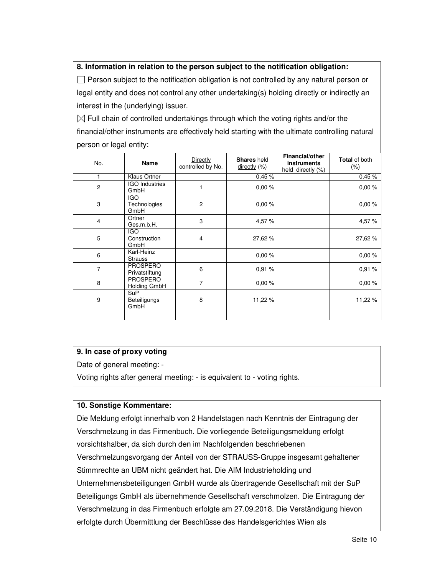### **8. Information in relation to the person subject to the notification obligation:**

 $\Box$  Person subject to the notification obligation is not controlled by any natural person or legal entity and does not control any other undertaking(s) holding directly or indirectly an interest in the (underlying) issuer.

 $\boxtimes$  Full chain of controlled undertakings through which the voting rights and/or the financial/other instruments are effectively held starting with the ultimate controlling natural person or legal entity:

| No.            | Name                               | Directly<br>controlled by No. | Shares held<br>$directly (\%)$ | Financial/other<br>instruments<br>held directly (%) | <b>Total of both</b><br>$(\% )$ |
|----------------|------------------------------------|-------------------------------|--------------------------------|-----------------------------------------------------|---------------------------------|
| $\mathbf{1}$   | Klaus Ortner                       |                               | 0,45%                          |                                                     | 0,45%                           |
| 2              | <b>IGO Industries</b><br>GmbH      | 1                             | 0,00%                          |                                                     | 0,00%                           |
| 3              | <b>IGO</b><br>Technologies<br>GmbH | $\overline{c}$                | 0,00%                          |                                                     | 0,00%                           |
| $\overline{4}$ | Ortner<br>Ges.m.b.H.               | 3                             | 4,57 %                         |                                                     | 4,57%                           |
| 5              | IGO.<br>Construction<br>GmbH       | 4                             | 27,62 %                        |                                                     | 27,62%                          |
| 6              | Karl-Heinz<br><b>Strauss</b>       |                               | 0,00%                          |                                                     | 0,00%                           |
| $\overline{7}$ | <b>PROSPERO</b><br>Privatstiftung  | 6                             | 0,91 %                         |                                                     | 0,91%                           |
| 8              | <b>PROSPERO</b><br>Holding GmbH    | 7                             | 0,00%                          |                                                     | 0,00%                           |
| 9              | <b>SuP</b><br>Beteiligungs<br>GmbH | 8                             | 11,22 %                        |                                                     | 11,22 %                         |
|                |                                    |                               |                                |                                                     |                                 |

### **9. In case of proxy voting**

Date of general meeting: -

Voting rights after general meeting: - is equivalent to - voting rights.

### **10. Sonstige Kommentare:**

Die Meldung erfolgt innerhalb von 2 Handelstagen nach Kenntnis der Eintragung der Verschmelzung in das Firmenbuch. Die vorliegende Beteiligungsmeldung erfolgt vorsichtshalber, da sich durch den im Nachfolgenden beschriebenen Verschmelzungsvorgang der Anteil von der STRAUSS-Gruppe insgesamt gehaltener Stimmrechte an UBM nicht geändert hat. Die AIM Industrieholding und Unternehmensbeteiligungen GmbH wurde als übertragende Gesellschaft mit der SuP Beteiligungs GmbH als übernehmende Gesellschaft verschmolzen. Die Eintragung der Verschmelzung in das Firmenbuch erfolgte am 27.09.2018. Die Verständigung hievon erfolgte durch Übermittlung der Beschlüsse des Handelsgerichtes Wien als